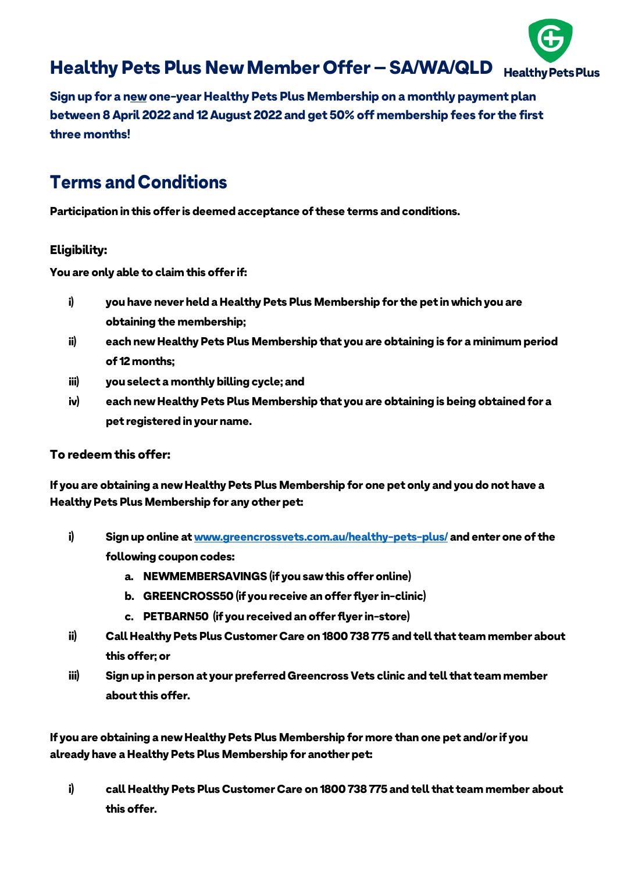

*Sign up for a new one-year Healthy Pets Plus Membership on a monthly payment plan between 8April 2022 and 12August 2022 and get 50% off membership fees for the first three months!*

# *Terms andConditions*

*Participation in this offer is deemed acceptance of these terms and conditions.*

# *Eligibility:*

*You are only able to claim this offer if:*

- *i) you have never held a Healthy Pets Plus Membership for the pet in which you are obtaining the membership;*
- *ii) each new Healthy Pets Plus Membership that you are obtaining is for a minimum period of 12 months;*
- *iii) you select a monthly billing cycle; and*
- *iv) each new Healthy Pets Plus Membership that you are obtaining is being obtained for a pet registered in your name.*

# *To redeem this offer:*

*If you are obtaining a new Healthy Pets Plus Membership for one pet only and you do not have a Healthy Pets Plus Membership for any other pet:*

- *i) Sign up online a[t www.greencrossvets.com.au/healthy-pets-plus/](http://www.greencrossvets.com.au/healthy-pets-plus/) and enter one of the following coupon codes:*
	- *a. NEWMEMBERSAVINGS (if you saw this offer online)*
	- *b. GREENCROSS50 (if you receive an offer flyer in-clinic)*
	- *c. PETBARN50 (if you received an offer flyer in-store)*
- *ii) Call Healthy Pets Plus Customer Care on 1800 738 775 and tell that team member about this offer; or*
- *iii) Sign up in person at your preferred Greencross Vets clinic and tell that team member about this offer.*

*If you are obtaining a new Healthy Pets Plus Membership for more than one pet and/or if you already have a Healthy Pets Plus Membership for another pet:*

*i) call Healthy Pets Plus Customer Care on 1800 738 775 and tell that team member about this offer.*